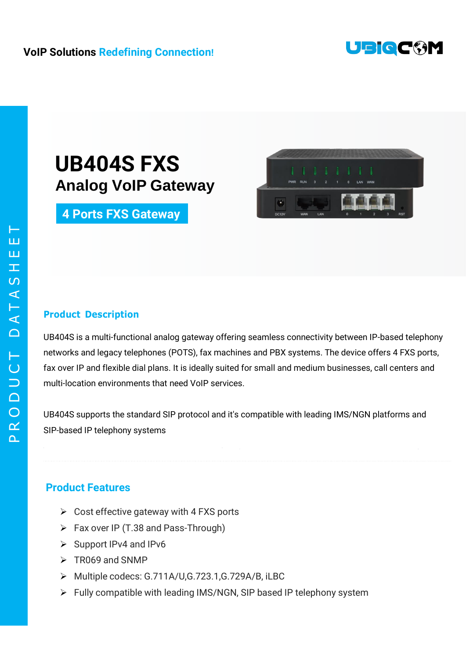

## **VoIP Solutions Redefining Connection!**

## **UB404S FXS Analog VoIP Gateway**

**4 Ports FXS Gateway**



#### **Product Description**

UB404S is a multi-functional analog gateway offering seamless connectivity between IP-based telephony networks and legacy telephones (POTS), fax machines and PBX systems. The device offers 4 FXS ports, fax over IP and flexible dial plans. It is ideally suited for small and medium businesses, call centers and multi-location environments that need VoIP services.

UB404S supports the standard SIP protocol and it's compatible with leading IMS/NGN platforms and SIP-based IP telephony systems

### **Product Features**

- $\triangleright$  Cost effective gateway with 4 FXS ports
- $\triangleright$  Fax over IP (T.38 and Pass-Through)
- $\triangleright$  Support IPv4 and IPv6
- $\triangleright$  TR069 and SNMP
- Multiple codecs: G.711A/U,G.723.1,G.729A/B, iLBC
- Fully compatible with leading IMS/NGN, SIP based IP telephony system